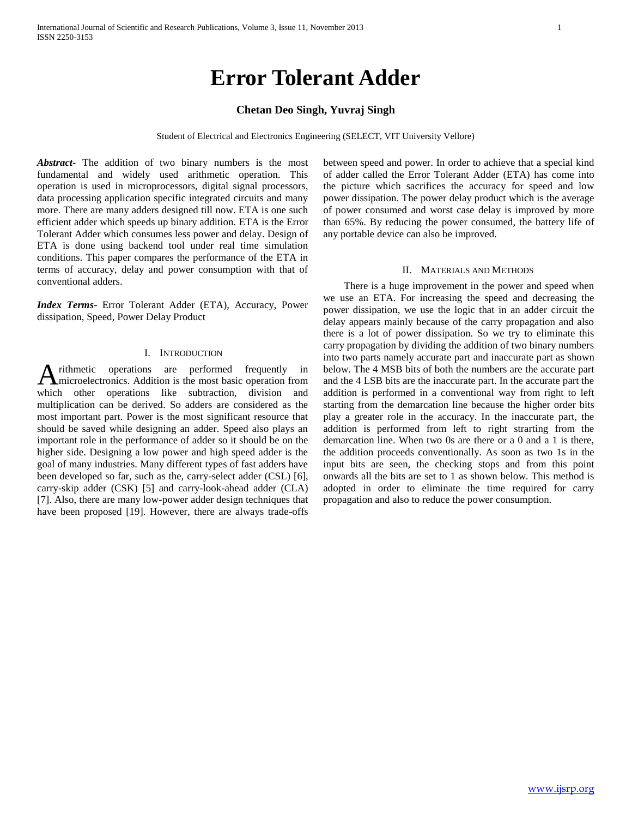# **Error Tolerant Adder**

## **Chetan Deo Singh, Yuvraj Singh**

Student of Electrical and Electronics Engineering (SELECT, VIT University Vellore)

*Abstract***-** The addition of two binary numbers is the most fundamental and widely used arithmetic operation. This operation is used in microprocessors, digital signal processors, data processing application specific integrated circuits and many more. There are many adders designed till now. ETA is one such efficient adder which speeds up binary addition. ETA is the Error Tolerant Adder which consumes less power and delay. Design of ETA is done using backend tool under real time simulation conditions. This paper compares the performance of the ETA in terms of accuracy, delay and power consumption with that of conventional adders.

*Index Terms*- Error Tolerant Adder (ETA), Accuracy, Power dissipation, Speed, Power Delay Product

## I. INTRODUCTION

rithmetic operations are performed frequently in microelectronics. Addition is the most basic operation from A rithmetic operations are performed frequently in microelectronics. Addition is the most basic operation from which other operations like subtraction, division and multiplication can be derived. So adders are considered as the most important part. Power is the most significant resource that should be saved while designing an adder. Speed also plays an important role in the performance of adder so it should be on the higher side. Designing a low power and high speed adder is the goal of many industries. Many different types of fast adders have been developed so far, such as the, carry-select adder (CSL) [6], carry-skip adder (CSK) [5] and carry-look-ahead adder (CLA) [7]. Also, there are many low-power adder design techniques that have been proposed [19]. However, there are always trade-offs

between speed and power. In order to achieve that a special kind of adder called the Error Tolerant Adder (ETA) has come into the picture which sacrifices the accuracy for speed and low power dissipation. The power delay product which is the average of power consumed and worst case delay is improved by more than 65%. By reducing the power consumed, the battery life of any portable device can also be improved.

#### II. MATERIALS AND METHODS

 There is a huge improvement in the power and speed when we use an ETA. For increasing the speed and decreasing the power dissipation, we use the logic that in an adder circuit the delay appears mainly because of the carry propagation and also there is a lot of power dissipation. So we try to eliminate this carry propagation by dividing the addition of two binary numbers into two parts namely accurate part and inaccurate part as shown below. The 4 MSB bits of both the numbers are the accurate part and the 4 LSB bits are the inaccurate part. In the accurate part the addition is performed in a conventional way from right to left starting from the demarcation line because the higher order bits play a greater role in the accuracy. In the inaccurate part, the addition is performed from left to right strarting from the demarcation line. When two 0s are there or a 0 and a 1 is there, the addition proceeds conventionally. As soon as two 1s in the input bits are seen, the checking stops and from this point onwards all the bits are set to 1 as shown below. This method is adopted in order to eliminate the time required for carry propagation and also to reduce the power consumption.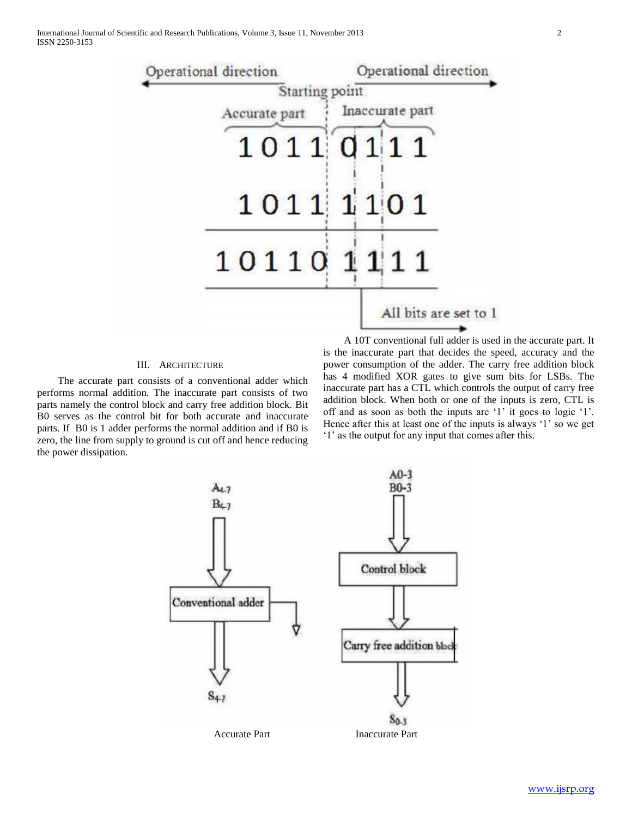

## III. ARCHITECTURE

 The accurate part consists of a conventional adder which performs normal addition. The inaccurate part consists of two parts namely the control block and carry free addition block. Bit B0 serves as the control bit for both accurate and inaccurate parts. If B0 is 1 adder performs the normal addition and if B0 is zero, the line from supply to ground is cut off and hence reducing the power dissipation.

 A 10T conventional full adder is used in the accurate part. It is the inaccurate part that decides the speed, accuracy and the power consumption of the adder. The carry free addition block has 4 modified XOR gates to give sum bits for LSBs. The inaccurate part has a CTL which controls the output of carry free addition block. When both or one of the inputs is zero, CTL is off and as soon as both the inputs are '1' it goes to logic '1'. Hence after this at least one of the inputs is always '1' so we get '1' as the output for any input that comes after this.

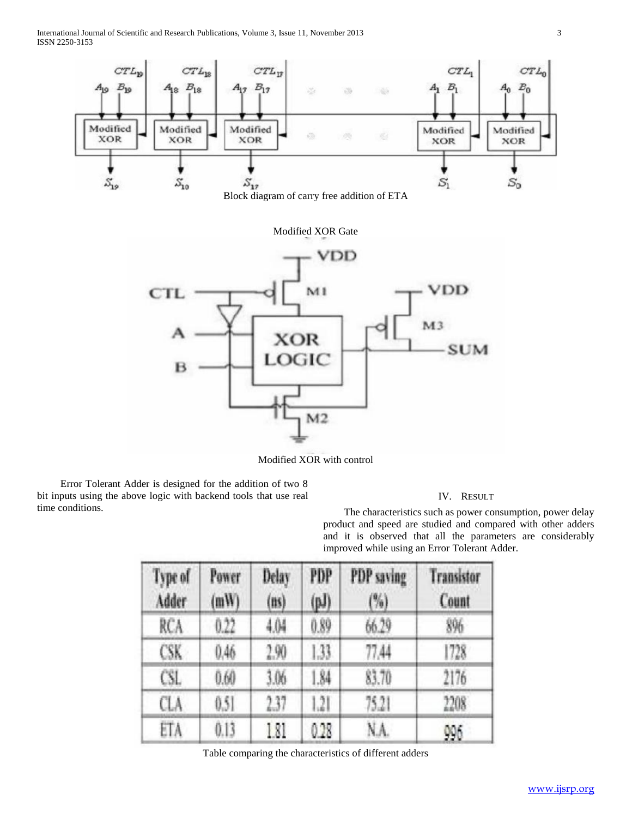International Journal of Scientific and Research Publications, Volume 3, Issue 11, November 2013 3 ISSN 2250-3153



Modified XOR with control

 Error Tolerant Adder is designed for the addition of two 8 bit inputs using the above logic with backend tools that use real time conditions.

### IV. RESULT

 The characteristics such as power consumption, power delay product and speed are studied and compared with other adders and it is observed that all the parameters are considerably improved while using an Error Tolerant Adder.

| Type of<br>Adder | Power<br>(mW) | Delay<br>(n <sub>s</sub> ) | PDP<br>$(\mathbf{p} \mathbf{J})$ | PDP saving<br>(%) | <b>Transistor</b><br>Count |
|------------------|---------------|----------------------------|----------------------------------|-------------------|----------------------------|
| RCA              | 0.22          | 4.04                       | 0.89                             | 66.29             | 896                        |
| CSK              | 0.46          | 2.90                       | 1.33.                            | 77,44             | 1728                       |
| CSL              | 0.60          | 3.06                       | 1.84                             | 83.70             | 2176                       |
| CLA              | 0.51          | 237                        | .2                               | 75.21             | 2208                       |
| ETA              | 0.13          | 181                        | 0.28                             | NA.               | 996                        |

Table comparing the characteristics of different adders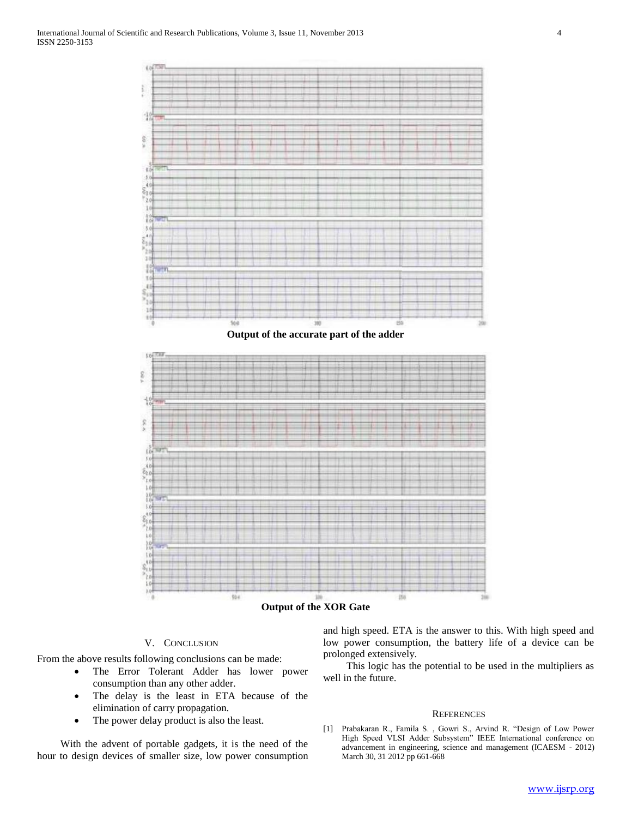

**Output of the XOR Gate**

## V. CONCLUSION

From the above results following conclusions can be made:

- The Error Tolerant Adder has lower power consumption than any other adder.
- The delay is the least in ETA because of the elimination of carry propagation.
- The power delay product is also the least.

 With the advent of portable gadgets, it is the need of the hour to design devices of smaller size, low power consumption and high speed. ETA is the answer to this. With high speed and low power consumption, the battery life of a device can be prolonged extensively.

 This logic has the potential to be used in the multipliers as well in the future.

#### **REFERENCES**

[1] Prabakaran R., Famila S. , Gowri S., Arvind R. "Design of Low Power High Speed VLSI Adder Subsystem" IEEE International conference on advancement in engineering, science and management (ICAESM - 2012) March 30, 31 2012 pp 661-668